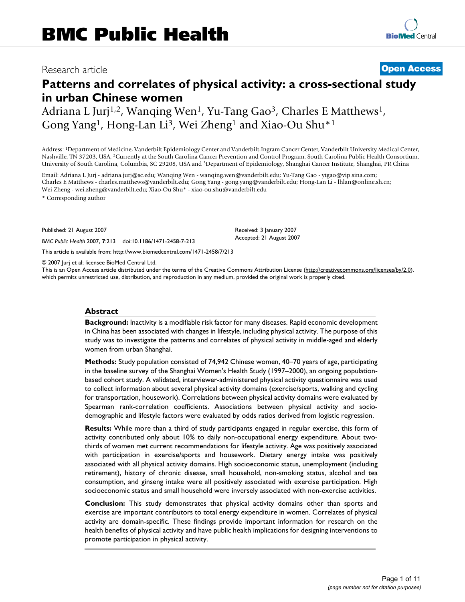# Research article **[Open Access](http://www.biomedcentral.com/info/about/charter/)**

# **Patterns and correlates of physical activity: a cross-sectional study in urban Chinese women**

Adriana L Jurj<sup>1,2</sup>, Wanqing Wen<sup>1</sup>, Yu-Tang Gao<sup>3</sup>, Charles E Matthews<sup>1</sup>, Gong Yang<sup>1</sup>, Hong-Lan Li<sup>3</sup>, Wei Zheng<sup>1</sup> and Xiao-Ou Shu<sup>\*1</sup>

Address: 1Department of Medicine, Vanderbilt Epidemiology Center and Vanderbilt-Ingram Cancer Center, Vanderbilt University Medical Center, Nashville, TN 37203, USA, 2Currently at the South Carolina Cancer Prevention and Control Program, South Carolina Public Health Consortium, University of South Carolina, Columbia, SC 29208, USA and 3Department of Epidemiology, Shanghai Cancer Institute, Shanghai, PR China

Email: Adriana L Jurj - adriana.jurj@sc.edu; Wanqing Wen - wanqing.wen@vanderbilt.edu; Yu-Tang Gao - ytgao@vip.sina.com; Charles E Matthews - charles.matthews@vanderbilt.edu; Gong Yang - gong.yang@vanderbilt.edu; Hong-Lan Li - lhlan@online.sh.cn; Wei Zheng - wei.zheng@vanderbilt.edu; Xiao-Ou Shu\* - xiao-ou.shu@vanderbilt.edu

\* Corresponding author

Published: 21 August 2007

*BMC Public Health* 2007, **7**:213 doi:10.1186/1471-2458-7-213

[This article is available from: http://www.biomedcentral.com/1471-2458/7/213](http://www.biomedcentral.com/1471-2458/7/213)

© 2007 Jurj et al; licensee BioMed Central Ltd.

This is an Open Access article distributed under the terms of the Creative Commons Attribution License [\(http://creativecommons.org/licenses/by/2.0\)](http://creativecommons.org/licenses/by/2.0), which permits unrestricted use, distribution, and reproduction in any medium, provided the original work is properly cited.

Received: 3 January 2007 Accepted: 21 August 2007

#### **Abstract**

**Background:** Inactivity is a modifiable risk factor for many diseases. Rapid economic development in China has been associated with changes in lifestyle, including physical activity. The purpose of this study was to investigate the patterns and correlates of physical activity in middle-aged and elderly women from urban Shanghai.

**Methods:** Study population consisted of 74,942 Chinese women, 40–70 years of age, participating in the baseline survey of the Shanghai Women's Health Study (1997–2000), an ongoing populationbased cohort study. A validated, interviewer-administered physical activity questionnaire was used to collect information about several physical activity domains (exercise/sports, walking and cycling for transportation, housework). Correlations between physical activity domains were evaluated by Spearman rank-correlation coefficients. Associations between physical activity and sociodemographic and lifestyle factors were evaluated by odds ratios derived from logistic regression.

**Results:** While more than a third of study participants engaged in regular exercise, this form of activity contributed only about 10% to daily non-occupational energy expenditure. About twothirds of women met current recommendations for lifestyle activity. Age was positively associated with participation in exercise/sports and housework. Dietary energy intake was positively associated with all physical activity domains. High socioeconomic status, unemployment (including retirement), history of chronic disease, small household, non-smoking status, alcohol and tea consumption, and ginseng intake were all positively associated with exercise participation. High socioeconomic status and small household were inversely associated with non-exercise activities.

**Conclusion:** This study demonstrates that physical activity domains other than sports and exercise are important contributors to total energy expenditure in women. Correlates of physical activity are domain-specific. These findings provide important information for research on the health benefits of physical activity and have public health implications for designing interventions to promote participation in physical activity.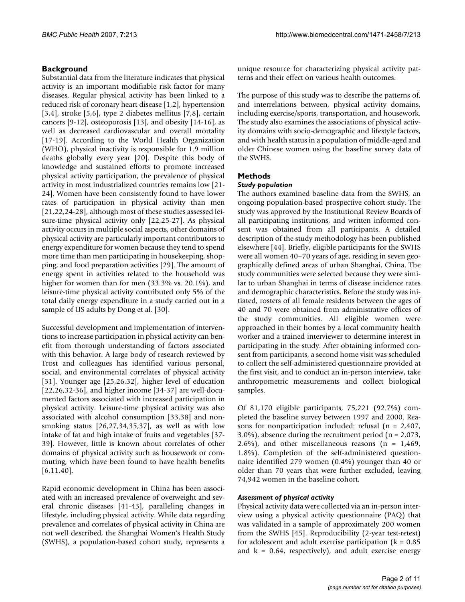# **Background**

Substantial data from the literature indicates that physical activity is an important modifiable risk factor for many diseases. Regular physical activity has been linked to a reduced risk of coronary heart disease [1,2], hypertension [3,4], stroke [5,6], type 2 diabetes mellitus [7,8], certain cancers [9-12], osteoporosis [13], and obesity [14-16], as well as decreased cardiovascular and overall mortality [17-19]. According to the World Health Organization (WHO), physical inactivity is responsible for 1.9 million deaths globally every year [20]. Despite this body of knowledge and sustained efforts to promote increased physical activity participation, the prevalence of physical activity in most industrialized countries remains low [21- 24]. Women have been consistently found to have lower rates of participation in physical activity than men [21,22,24-28], although most of these studies assessed leisure-time physical activity only [22,25-27]. As physical activity occurs in multiple social aspects, other domains of physical activity are particularly important contributors to energy expenditure for women because they tend to spend more time than men participating in housekeeping, shopping, and food preparation activities [29]. The amount of energy spent in activities related to the household was higher for women than for men (33.3% vs. 20.1%), and leisure-time physical activity contributed only 5% of the total daily energy expenditure in a study carried out in a sample of US adults by Dong et al. [30].

Successful development and implementation of interventions to increase participation in physical activity can benefit from thorough understanding of factors associated with this behavior. A large body of research reviewed by Trost and colleagues has identified various personal, social, and environmental correlates of physical activity [31]. Younger age [25,26,32], higher level of education [22,26,32-36], and higher income [34-37] are well-documented factors associated with increased participation in physical activity. Leisure-time physical activity was also associated with alcohol consumption [33,38] and nonsmoking status [26,27,34,35,37], as well as with low intake of fat and high intake of fruits and vegetables [37- 39]. However, little is known about correlates of other domains of physical activity such as housework or commuting, which have been found to have health benefits  $[6,11,40]$ .

Rapid economic development in China has been associated with an increased prevalence of overweight and several chronic diseases [41-43], paralleling changes in lifestyle, including physical activity. While data regarding prevalence and correlates of physical activity in China are not well described, the Shanghai Women's Health Study (SWHS), a population-based cohort study, represents a

unique resource for characterizing physical activity patterns and their effect on various health outcomes.

The purpose of this study was to describe the patterns of, and interrelations between, physical activity domains, including exercise/sports, transportation, and housework. The study also examines the associations of physical activity domains with socio-demographic and lifestyle factors, and with health status in a population of middle-aged and older Chinese women using the baseline survey data of the SWHS.

# **Methods**

#### *Study population*

The authors examined baseline data from the SWHS, an ongoing population-based prospective cohort study. The study was approved by the Institutional Review Boards of all participating institutions, and written informed consent was obtained from all participants. A detailed description of the study methodology has been published elsewhere [44]. Briefly, eligible participants for the SWHS were all women 40–70 years of age, residing in seven geographically defined areas of urban Shanghai, China. The study communities were selected because they were similar to urban Shanghai in terms of disease incidence rates and demographic characteristics. Before the study was initiated, rosters of all female residents between the ages of 40 and 70 were obtained from administrative offices of the study communities. All eligible women were approached in their homes by a local community health worker and a trained interviewer to determine interest in participating in the study. After obtaining informed consent from participants, a second home visit was scheduled to collect the self-administered questionnaire provided at the first visit, and to conduct an in-person interview, take anthropometric measurements and collect biological samples.

Of 81,170 eligible participants, 75,221 (92.7%) completed the baseline survey between 1997 and 2000. Reasons for nonparticipation included: refusal (n = 2,407, 3.0%), absence during the recruitment period (n = 2,073, 2.6%), and other miscellaneous reasons  $(n = 1,469,$ 1.8%). Completion of the self-administered questionnaire identified 279 women (0.4%) younger than 40 or older than 70 years that were further excluded, leaving 74,942 women in the baseline cohort.

### *Assessment of physical activity*

Physical activity data were collected via an in-person interview using a physical activity questionnaire (PAQ) that was validated in a sample of approximately 200 women from the SWHS [45]. Reproducibility (2-year test-retest) for adolescent and adult exercise participation ( $k = 0.85$ ) and  $k = 0.64$ , respectively), and adult exercise energy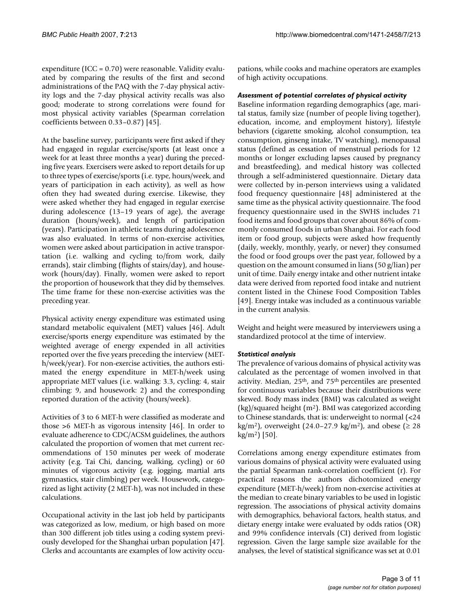expenditure (ICC = 0.70) were reasonable. Validity evaluated by comparing the results of the first and second administrations of the PAQ with the 7-day physical activity logs and the 7-day physical activity recalls was also good; moderate to strong correlations were found for most physical activity variables (Spearman correlation coefficients between 0.33–0.87) [45].

At the baseline survey, participants were first asked if they had engaged in regular exercise/sports (at least once a week for at least three months a year) during the preceding five years. Exercisers were asked to report details for up to three types of exercise/sports (i.e. type, hours/week, and years of participation in each activity), as well as how often they had sweated during exercise. Likewise, they were asked whether they had engaged in regular exercise during adolescence (13–19 years of age), the average duration (hours/week), and length of participation (years). Participation in athletic teams during adolescence was also evaluated. In terms of non-exercise activities, women were asked about participation in active transportation (i.e. walking and cycling to/from work, daily errands), stair climbing (flights of stairs/day), and housework (hours/day). Finally, women were asked to report the proportion of housework that they did by themselves. The time frame for these non-exercise activities was the preceding year.

Physical activity energy expenditure was estimated using standard metabolic equivalent (MET) values [46]. Adult exercise/sports energy expenditure was estimated by the weighted average of energy expended in all activities reported over the five years preceding the interview (METh/week/year). For non-exercise activities, the authors estimated the energy expenditure in MET-h/week using appropriate MET values (i.e. walking: 3.3, cycling: 4, stair climbing: 9, and housework: 2) and the corresponding reported duration of the activity (hours/week).

Activities of 3 to 6 MET-h were classified as moderate and those >6 MET-h as vigorous intensity [46]. In order to evaluate adherence to CDC/ACSM guidelines, the authors calculated the proportion of women that met current recommendations of 150 minutes per week of moderate activity (e.g. Tai Chi, dancing, walking, cycling) or 60 minutes of vigorous activity (e.g. jogging, martial arts gymnastics, stair climbing) per week. Housework, categorized as light activity (2 MET-h), was not included in these calculations.

Occupational activity in the last job held by participants was categorized as low, medium, or high based on more than 300 different job titles using a coding system previously developed for the Shanghai urban population [47]. Clerks and accountants are examples of low activity occupations, while cooks and machine operators are examples of high activity occupations.

### *Assessment of potential correlates of physical activity*

Baseline information regarding demographics (age, marital status, family size (number of people living together), education, income, and employment history), lifestyle behaviors (cigarette smoking, alcohol consumption, tea consumption, ginseng intake, TV watching), menopausal status (defined as cessation of menstrual periods for 12 months or longer excluding lapses caused by pregnancy and breastfeeding), and medical history was collected through a self-administered questionnaire. Dietary data were collected by in-person interviews using a validated food frequency questionnaire [48] administered at the same time as the physical activity questionnaire. The food frequency questionnaire used in the SWHS includes 71 food items and food groups that cover about 86% of commonly consumed foods in urban Shanghai. For each food item or food group, subjects were asked how frequently (daily, weekly, monthly, yearly, or never) they consumed the food or food groups over the past year, followed by a question on the amount consumed in lians (50 g/lian) per unit of time. Daily energy intake and other nutrient intake data were derived from reported food intake and nutrient content listed in the Chinese Food Composition Tables [49]. Energy intake was included as a continuous variable in the current analysis.

Weight and height were measured by interviewers using a standardized protocol at the time of interview.

### *Statistical analysis*

The prevalence of various domains of physical activity was calculated as the percentage of women involved in that activity. Median, 25th, and 75th percentiles are presented for continuous variables because their distributions were skewed. Body mass index (BMI) was calculated as weight  $(kg)/squared$  height  $(m<sup>2</sup>)$ . BMI was categorized according to Chinese standards, that is: underweight to normal (<24 kg/m<sup>2</sup>), overweight (24.0–27.9 kg/m<sup>2</sup>), and obese ( $\geq 28$  $kg/m<sup>2</sup>$  [50].

Correlations among energy expenditure estimates from various domains of physical activity were evaluated using the partial Spearman rank-correlation coefficient (r). For practical reasons the authors dichotomized energy expenditure (MET-h/week) from non-exercise activities at the median to create binary variables to be used in logistic regression. The associations of physical activity domains with demographics, behavioral factors, health status, and dietary energy intake were evaluated by odds ratios (OR) and 99% confidence intervals (CI) derived from logistic regression. Given the large sample size available for the analyses, the level of statistical significance was set at 0.01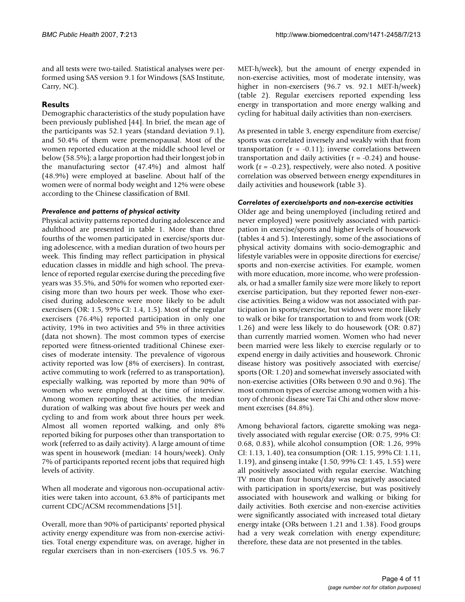and all tests were two-tailed. Statistical analyses were performed using SAS version 9.1 for Windows (SAS Institute, Carry, NC).

# **Results**

Demographic characteristics of the study population have been previously published [44]. In brief, the mean age of the participants was 52.1 years (standard deviation 9.1), and 50.4% of them were premenopausal. Most of the women reported education at the middle school level or below (58.5%); a large proportion had their longest job in the manufacturing sector (47.4%) and almost half (48.9%) were employed at baseline. About half of the women were of normal body weight and 12% were obese according to the Chinese classification of BMI.

# *Prevalence and patterns of physical activity*

Physical activity patterns reported during adolescence and adulthood are presented in table 1. More than three fourths of the women participated in exercise/sports during adolescence, with a median duration of two hours per week. This finding may reflect participation in physical education classes in middle and high school. The prevalence of reported regular exercise during the preceding five years was 35.5%, and 50% for women who reported exercising more than two hours per week. Those who exercised during adolescence were more likely to be adult exercisers (OR: 1.5, 99% CI: 1.4, 1.5). Most of the regular exercisers (76.4%) reported participation in only one activity, 19% in two activities and 5% in three activities (data not shown). The most common types of exercise reported were fitness-oriented traditional Chinese exercises of moderate intensity. The prevalence of vigorous activity reported was low (8% of exercisers). In contrast, active commuting to work (referred to as transportation), especially walking, was reported by more than 90% of women who were employed at the time of interview. Among women reporting these activities, the median duration of walking was about five hours per week and cycling to and from work about three hours per week. Almost all women reported walking, and only 8% reported biking for purposes other than transportation to work (referred to as daily activity). A large amount of time was spent in housework (median: 14 hours/week). Only 7% of participants reported recent jobs that required high levels of activity.

When all moderate and vigorous non-occupational activities were taken into account, 63.8% of participants met current CDC/ACSM recommendations [51].

Overall, more than 90% of participants' reported physical activity energy expenditure was from non-exercise activities. Total energy expenditure was, on average, higher in regular exercisers than in non-exercisers (105.5 vs. 96.7

MET-h/week), but the amount of energy expended in non-exercise activities, most of moderate intensity, was higher in non-exercisers (96.7 vs. 92.1 MET-h/week) (table 2). Regular exercisers reported expending less energy in transportation and more energy walking and cycling for habitual daily activities than non-exercisers.

As presented in table 3, energy expenditure from exercise/ sports was correlated inversely and weakly with that from transportation  $(r = -0.11)$ ; inverse correlations between transportation and daily activities  $(r = -0.24)$  and housework  $(r = -0.23)$ , respectively, were also noted. A positive correlation was observed between energy expenditures in daily activities and housework (table 3).

### *Correlates of exercise/sports and non-exercise activities*

Older age and being unemployed (including retired and never employed) were positively associated with participation in exercise/sports and higher levels of housework (tables 4 and 5). Interestingly, some of the associations of physical activity domains with socio-demographic and lifestyle variables were in opposite directions for exercise/ sports and non-exercise activities. For example, women with more education, more income, who were professionals, or had a smaller family size were more likely to report exercise participation, but they reported fewer non-exercise activities. Being a widow was not associated with participation in sports/exercise, but widows were more likely to walk or bike for transportation to and from work (OR: 1.26) and were less likely to do housework (OR: 0.87) than currently married women. Women who had never been married were less likely to exercise regularly or to expend energy in daily activities and housework. Chronic disease history was positively associated with exercise/ sports (OR: 1.20) and somewhat inversely associated with non-exercise activities (ORs between 0.90 and 0.96). The most common types of exercise among women with a history of chronic disease were Tai Chi and other slow movement exercises (84.8%).

Among behavioral factors, cigarette smoking was negatively associated with regular exercise (OR: 0.75, 99% CI: 0.68, 0.83), while alcohol consumption (OR: 1.26, 99% CI: 1.13, 1.40), tea consumption (OR: 1.15, 99% CI: 1.11, 1.19), and ginseng intake (1.50, 99% CI: 1.45, 1.55) were all positively associated with regular exercise. Watching TV more than four hours/day was negatively associated with participation in sports/exercise, but was positively associated with housework and walking or biking for daily activities. Both exercise and non-exercise activities were significantly associated with increased total dietary energy intake (ORs between 1.21 and 1.38). Food groups had a very weak correlation with energy expenditure; therefore, these data are not presented in the tables.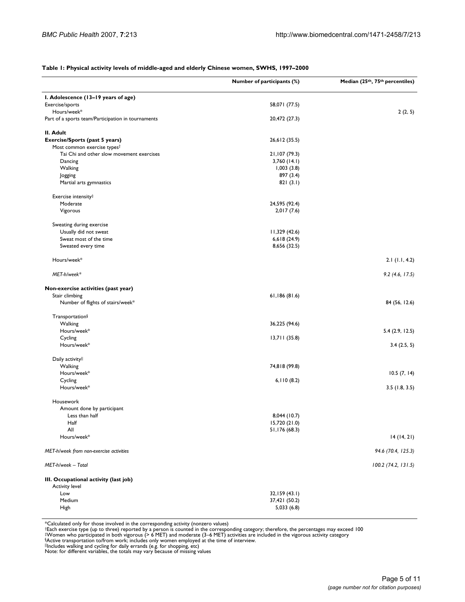#### **Table 1: Physical activity levels of middle-aged and elderly Chinese women, SWHS, 1997–2000**

|                                                                | Number of participants (%) | Median (25th, 75th percentiles) |
|----------------------------------------------------------------|----------------------------|---------------------------------|
| I. Adolescence (13-19 years of age)                            |                            |                                 |
| Exercise/sports                                                | 58,071 (77.5)              |                                 |
| Hours/week*                                                    |                            | 2(2, 5)                         |
| Part of a sports team/Participation in tournaments             | 20,472 (27.3)              |                                 |
| II. Adult                                                      |                            |                                 |
| <b>Exercise/Sports (past 5 years)</b>                          | 26,612 (35.5)              |                                 |
| Most common exercise types <sup>†</sup>                        |                            |                                 |
| Tai Chi and other slow movement exercises                      | 21,107 (79.3)              |                                 |
| Dancing                                                        | $3,760$ (14.1)             |                                 |
| Walking                                                        | 1,003(3.8)                 |                                 |
| Jogging                                                        | 897 (3.4)                  |                                 |
| Martial arts gymnastics                                        | 821(3.1)                   |                                 |
| Exercise intensity#                                            |                            |                                 |
| Moderate                                                       | 24,595 (92.4)              |                                 |
| Vigorous                                                       | 2,017(7.6)                 |                                 |
| Sweating during exercise                                       |                            |                                 |
| Usually did not sweat                                          | 11,329(42.6)               |                                 |
| Sweat most of the time                                         | 6,618(24.9)                |                                 |
| Sweated every time                                             | 8,656 (32.5)               |                                 |
| Hours/week*                                                    |                            | $2.1$ (1.1, 4.2)                |
| MET-h/week*                                                    |                            | 9.2(4.6, 17.5)                  |
| Non-exercise activities (past year)                            |                            |                                 |
| Stair climbing                                                 | 61,186(81.6)               |                                 |
| Number of flights of stairs/week*                              |                            | 84 (56, 12.6)                   |
| Transportation§                                                |                            |                                 |
| Walking                                                        | 36,225 (94.6)              |                                 |
| Hours/week*                                                    |                            | 5.4(2.9, 12.5)                  |
| Cycling                                                        | 13,711(35.8)               |                                 |
| Hours/week*                                                    |                            | 3.4(2.5, 5)                     |
| Daily activityll                                               |                            |                                 |
| Walking                                                        | 74,818 (99.8)              |                                 |
| Hours/week*                                                    |                            | 10.5(7, 14)                     |
| Cycling                                                        | 6,110(8.2)                 |                                 |
| Hours/week*                                                    |                            | 3.5(1.8, 3.5)                   |
| Housework                                                      |                            |                                 |
| Amount done by participant                                     |                            |                                 |
| Less than half                                                 | 8,044 (10.7)               |                                 |
| Half                                                           | 15,720 (21.0)              |                                 |
| All                                                            | 51,176 (68.3)              |                                 |
| Hours/week*                                                    |                            | 14(14, 21)                      |
| MET-h/week from non-exercise activities                        |                            | 94.6 (70.4, 125.3)              |
| MET-h/week - Total                                             |                            | 100.2 (74.2, 131.5)             |
| III. Occupational activity (last job)<br><b>Activity level</b> |                            |                                 |
| Low                                                            | 32,159 (43.1)              |                                 |
| Medium                                                         | 37,421 (50.2)              |                                 |
| High                                                           | 5,033(6.8)                 |                                 |
|                                                                |                            |                                 |

\*Calculated only for those involved in the corresponding activity (nonzero values)<br>\*Each exercise type (up to three) reported by a person is counted in the corresponding category; therefore, the percentages may exceed 100<br>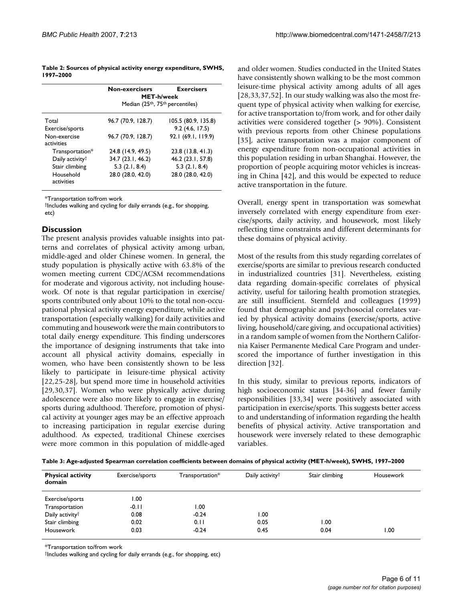**Table 2: Sources of physical activity energy expenditure, SWHS, 1997–2000**

|                             | Non-exercisers                                           | <b>Exercisers</b>   |  |  |
|-----------------------------|----------------------------------------------------------|---------------------|--|--|
|                             | <b>MET-h/week</b>                                        |                     |  |  |
|                             | Median (25 <sup>th</sup> , 75 <sup>th</sup> percentiles) |                     |  |  |
| Total                       | 96.7 (70.9, 128.7)                                       | 105.5 (80.9, 135.8) |  |  |
| Exercise/sports             |                                                          | 9.2(4.6, 17.5)      |  |  |
| Non-exercise<br>activities  | 96.7 (70.9, 128.7)                                       | 92.1 (69.1, 119.9)  |  |  |
| Transportation*             | 24.8 (14.9, 49.5)                                        | 23.8 (13.8, 41.3)   |  |  |
| Daily activity <sup>†</sup> | 34.7 (23.1, 46.2)                                        | 46.2 (23.1, 57.8)   |  |  |
| Stair climbing              | $5.3$ (2.1, 8.4)                                         | $5.3$ $(2.1, 8.4)$  |  |  |
| Household<br>activities     | 28.0 (28.0, 42.0)                                        | 28.0 (28.0, 42.0)   |  |  |

\*Transportation to/from work

†Includes walking and cycling for daily errands (e.g., for shopping, etc)

### **Discussion**

The present analysis provides valuable insights into patterns and correlates of physical activity among urban, middle-aged and older Chinese women. In general, the study population is physically active with 63.8% of the women meeting current CDC/ACSM recommendations for moderate and vigorous activity, not including housework. Of note is that regular participation in exercise/ sports contributed only about 10% to the total non-occupational physical activity energy expenditure, while active transportation (especially walking) for daily activities and commuting and housework were the main contributors to total daily energy expenditure. This finding underscores the importance of designing instruments that take into account all physical activity domains, especially in women, who have been consistently shown to be less likely to participate in leisure-time physical activity [22,25-28], but spend more time in household activities [29,30,37]. Women who were physically active during adolescence were also more likely to engage in exercise/ sports during adulthood. Therefore, promotion of physical activity at younger ages may be an effective approach to increasing participation in regular exercise during adulthood. As expected, traditional Chinese exercises were more common in this population of middle-aged and older women. Studies conducted in the United States have consistently shown walking to be the most common leisure-time physical activity among adults of all ages [28,33,37,52]. In our study walking was also the most frequent type of physical activity when walking for exercise, for active transportation to/from work, and for other daily activities were considered together (> 90%). Consistent with previous reports from other Chinese populations [35], active transportation was a major component of energy expenditure from non-occupational activities in this population residing in urban Shanghai. However, the proportion of people acquiring motor vehicles is increasing in China [42], and this would be expected to reduce active transportation in the future.

Overall, energy spent in transportation was somewhat inversely correlated with energy expenditure from exercise/sports, daily activity, and housework, most likely reflecting time constraints and different determinants for these domains of physical activity.

Most of the results from this study regarding correlates of exercise/sports are similar to previous research conducted in industrialized countries [31]. Nevertheless, existing data regarding domain-specific correlates of physical activity, useful for tailoring health promotion strategies, are still insufficient. Sternfeld and colleagues (1999) found that demographic and psychosocial correlates varied by physical activity domains (exercise/sports, active living, household/care giving, and occupational activities) in a random sample of women from the Northern California Kaiser Permanente Medical Care Program and underscored the importance of further investigation in this direction [32].

In this study, similar to previous reports, indicators of high socioeconomic status [34-36] and fewer family responsibilities [33,34] were positively associated with participation in exercise/sports. This suggests better access to and understanding of information regarding the health benefits of physical activity. Active transportation and housework were inversely related to these demographic variables.

**Table 3: Age-adjusted Spearman correlation coefficients between domains of physical activity (MET-h/week), SWHS, 1997–2000**

| <b>Physical activity</b><br>domain | Exercise/sports | Transportation* | Daily activity <sup>†</sup> | Stair climbing | Housework |
|------------------------------------|-----------------|-----------------|-----------------------------|----------------|-----------|
| Exercise/sports                    | 1.00            |                 |                             |                |           |
| Transportation                     | $-0.11$         | 1.00            |                             |                |           |
| Daily activity <sup>†</sup>        | 0.08            | $-0.24$         | 00. ا                       |                |           |
| Stair climbing                     | 0.02            | 0.11            | 0.05                        | 1.00           |           |
| Housework                          | 0.03            | $-0.24$         | 0.45                        | 0.04           | 1.00      |

\*Transportation to/from work

†Includes walking and cycling for daily errands (e.g., for shopping, etc)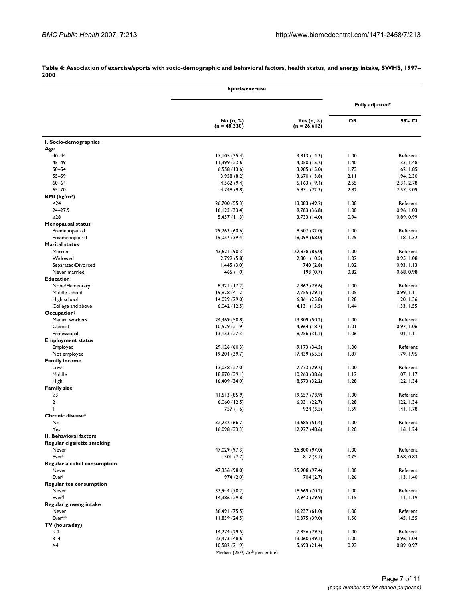|                                      | <b>Sports/exercise</b>         |                                |                 |                          |
|--------------------------------------|--------------------------------|--------------------------------|-----------------|--------------------------|
|                                      |                                |                                | Fully adjusted* |                          |
|                                      | No (n, %)<br>$(n = 48,330)$    | Yes $(n, %)$<br>$(n = 26,612)$ | <b>OR</b>       | 99% CI                   |
| I. Socio-demographics                |                                |                                |                 |                          |
| Age                                  |                                |                                |                 |                          |
| $40 - 44$                            | 17,105 (35.4)                  | 3,813(14.3)                    | 1.00            | Referent                 |
| $45 - 49$                            | 11,399 (23.6)                  | 4,050 (15.2)                   | 1.40            | 1.33, 1.48               |
| $50 - 54$<br>$55 - 59$               | 6,558 (13.6)<br>3,958 (8.2)    | 3,985 (15.0)<br>3,670 (13.8)   | 1.73<br>2.11    | 1.62, 1.85<br>1.94, 2.30 |
| $60 - 64$                            | 4,562 (9.4)                    | 5,163(19.4)                    | 2.55            | 2.34, 2.78               |
| $65 - 70$                            | 4,748 (9.8)                    | 5,931 (22.3)                   | 2.82            | 2.57, 3.09               |
| BMI (kg/m <sup>2</sup> )             |                                |                                |                 |                          |
| $24$                                 | 26,700 (55.3)                  | 13,083 (49.2)                  | 1.00            | Referent                 |
| $24 - 27.9$                          | 16, 125(33.4)                  | 9,783 (36.8)                   | 1.00            | 0.96, 1.03               |
| $\geq$ 28                            | $5,457$ (11.3)                 | 3,733 (14.0)                   | 0.94            | 0.89, 0.99               |
| <b>Menopausal status</b>             |                                |                                |                 |                          |
| Premenopausal                        | 29,263 (60.6)                  | 8,507 (32.0)                   | 1.00            | Referent                 |
| Postmenopausal                       | 19,057 (39.4)                  | 18,099 (68.0)                  | 1.25            | 1.18, 1.32               |
| <b>Marital status</b>                |                                |                                |                 |                          |
| Married                              | 43,621 (90.3)                  | 22,878 (86.0)                  | 1.00            | Referent                 |
| Widowed                              | 2,799 (5.8)                    | 2,801 (10.5)                   | 1.02            | 0.95, 1.08               |
| Separated/Divorced                   | 1,445(3.0)                     | 740 (2.8)                      | 1.02            | 0.93, 1.13               |
| Never married                        | 465 (1.0)                      | 193(0.7)                       | 0.82            | 0.68, 0.98               |
| <b>Education</b>                     |                                |                                |                 |                          |
| None/Elementary                      | 8,321 (17.2)                   | 7,862 (29.6)                   | 1.00            | Referent                 |
| Middle school                        | 19,928 (41.2)                  | 7,755 (29.1)                   | 1.05            | 0.99, 1.11               |
| High school                          | 14,029 (29.0)                  | 6,861 (25.8)                   | 1.28            | 1.20, 1.36               |
| College and above                    | 6,042 (12.5)                   | 4,131 (15.5)                   | 1.44            | 1.33, 1.55               |
| Occupation <sup>†</sup>              |                                |                                |                 |                          |
| Manual workers                       | 24,469 (50.8)                  | 13,309 (50.2)                  | 1.00            | Referent                 |
| Clerical                             | 10,529(21.9)                   | 4,964 (18.7)                   | 1.01            | 0.97, 1.06               |
| Professional                         | 13,133(27.3)                   | 8,256(31.1)                    | 1.06            | 1.01, 1.11               |
| <b>Employment status</b>             |                                |                                |                 |                          |
| Employed                             | 29,126 (60.3)                  | 9,173 (34.5)                   | 1.00            | Referent                 |
| Not employed<br><b>Family income</b> | 19,204 (39.7)                  | 17,439 (65.5)                  | 1.87            | 1.79, 1.95               |
| Low                                  | 13,038 (27.0)                  | 7,773 (29.2)                   | 1.00            | Referent                 |
| Middle                               | 18,870 (39.1)                  | 10,263 (38.6)                  | 1.12            | 1.07, 1.17               |
| High                                 | 16,409 (34.0)                  | 8,573 (32.2)                   | 1.28            | 1.22, 1.34               |
| <b>Family size</b>                   |                                |                                |                 |                          |
| $\geq$ 3                             | 41,513 (85.9)                  | 19,657 (73.9)                  | 1.00            | Referent                 |
| $\overline{2}$                       | 6,060 (12.5)                   | 6,031(22.7)                    | 1.28            | 122, 1.34                |
|                                      | 757 (1.6)                      | 924 (3.5)                      | 1.59            | 1.41, 1.78               |
| Chronic disease‡                     |                                |                                |                 |                          |
| No                                   | 32,232 (66.7)                  | 13,685(51.4)                   | 1.00            | Referent                 |
| Yes                                  | 16,098 (33.3)                  | 12,927 (48.6)                  | 1.20            | 1.16, 1.24               |
| II. Behavioral factors               |                                |                                |                 |                          |
| Regular cigarette smoking            |                                |                                |                 |                          |
| Never                                | 47,029 (97.3)                  | 25,800 (97.0)                  | 1.00            | Referent                 |
| <b>Ever</b>                          | 1,301(2.7)                     | 812(3.1)                       | 0.75            | 0.68, 0.83               |
| Regular alcohol consumption          |                                |                                |                 |                          |
| Never                                | 47,356 (98.0)                  | 25,908 (97.4)                  | 1.00            | Referent                 |
| Everl                                | 974 (2.0)                      | 704 (2.7)                      | 1.26            | 1.13, 1.40               |
| Regular tea consumption              |                                |                                |                 |                          |
| Never                                | 33,944 (70.2)                  | 18,669 (70.2)                  | 1.00            | Referent                 |
| Ever¶                                | 14,386 (29.8)                  | 7,943 (29.9)                   | 1.15            | 1.11, 1.19               |
| Regular ginseng intake               |                                |                                |                 |                          |
| Never<br>Ever**                      | 36,491 (75.5)<br>11,839(24.5)  | 16,237(61.0)                   | 1.00<br>1.50    | Referent<br>1.45, 1.55   |
| TV (hours/day)                       |                                | 10,375 (39.0)                  |                 |                          |
| $\leq 2$                             | 14,274 (29.5)                  | 7,856 (29.5)                   | 1.00            | Referent                 |
| $3 - 4$                              | 23,473 (48.6)                  | 13,060 (49.1)                  | 1.00            | 0.96, 1.04               |
| >4                                   | 10,582(21.9)                   | 5,693(21.4)                    | 0.93            | 0.89, 0.97               |
|                                      | Median (25th, 75th percentile) |                                |                 |                          |

**Table 4: Association of exercise/sports with socio-demographic and behavioral factors, health status, and energy intake, SWHS, 1997– 2000**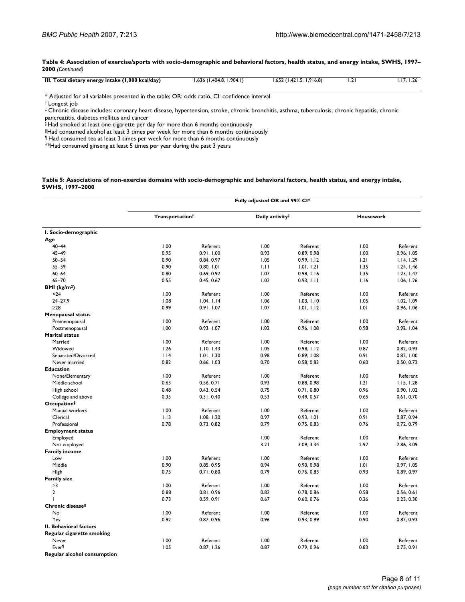**Table 4: Association of exercise/sports with socio-demographic and behavioral factors, health status, and energy intake, SWHS, 1997– 2000** *(Continued)*

| III. Total dietary energy intake (1,000 kcal/day) | $1,636$ (1,404.8, 1,904.1) | $1,652$ (1,421.5, 1,916.8) |  |
|---------------------------------------------------|----------------------------|----------------------------|--|
|                                                   |                            |                            |  |

\* Adjusted for all variables presented in the table; OR: odds ratio, CI: confidence interval

† Longest job

‡ Chronic disease includes: coronary heart disease, hypertension, stroke, chronic bronchitis, asthma, tuberculosis, chronic hepatitis, chronic pancreatitis, diabetes mellitus and cancer

§ Had smoked at least one cigarette per day for more than 6 months continuously

||Had consumed alcohol at least 3 times per week for more than 6 months continuously

¶ Had consumed tea at least 3 times per week for more than 6 months continuously

\*\*Had consumed ginseng at least 5 times per year during the past 3 years

#### **Table 5: Associations of non-exercise domains with socio-demographic and behavioral factors, health status, and energy intake, SWHS, 1997–2000**

|                             | Fully adjusted OR and 99% CI* |            |                 |            |                  |            |
|-----------------------------|-------------------------------|------------|-----------------|------------|------------------|------------|
|                             | Transportationt               |            | Daily activity# |            | <b>Housework</b> |            |
| I. Socio-demographic        |                               |            |                 |            |                  |            |
| Age                         |                               |            |                 |            |                  |            |
| $40 - 44$                   | 1.00                          | Referent   | 1.00            | Referent   | 1.00             | Referent   |
| $45 - 49$                   | 0.95                          | 0.91, 1.00 | 0.93            | 0.89, 0.98 | 1.00             | 0.96, 1.05 |
| $50 - 54$                   | 0.90                          | 0.84, 0.97 | 1.05            | 0.99, 1.12 | 1.21             | 1.14, 1.29 |
| $55 - 59$                   | 0.90                          | 0.80, 1.01 | 1.11            | 1.01, 1.21 | 1.35             | 1.24, 1.46 |
| $60 - 64$                   | 0.80                          | 0.69, 0.92 | 1.07            | 0.98, 1.16 | 1.35             | 1.23, 1.47 |
| $65 - 70$                   | 0.55                          | 0.45, 0.67 | 1.02            | 0.93, 1.11 | 1.16             | 1.06, 1.26 |
| <b>BMI</b> ( $kg/m2$ )      |                               |            |                 |            |                  |            |
| $24$                        | 1.00                          | Referent   | 1.00            | Referent   | 1.00             | Referent   |
| $24 - 27.9$                 | 1.08                          | 1.04, 1.14 | 1.06            | 1.03, 1.10 | 1.05             | 1.02, 1.09 |
| $\geq$ 28                   | 0.99                          | 0.91, 1.07 | 1.07            | 1.01, 1.12 | 1.01             | 0.96, 1.06 |
| <b>Menopausal status</b>    |                               |            |                 |            |                  |            |
| Premenopausal               | 1.00                          | Referent   | 1.00            | Referent   | 1.00             | Referent   |
| Postmenopausal              | 1.00                          | 0.93, 1.07 | 1.02            | 0.96, 1.08 | 0.98             | 0.92, 1.04 |
| <b>Marital status</b>       |                               |            |                 |            |                  |            |
| Married                     | 1.00                          | Referent   | 1.00            | Referent   | 1.00             | Referent   |
| Widowed                     | 1.26                          | 1.10.1.43  | 1.05            | 0.98. 1.12 | 0.87             | 0.82, 0.93 |
| Separated/Divorced          | 1.14                          | 1.01, 1.30 | 0.98            | 0.89, 1.08 | 0.91             | 0.82, 1.00 |
| Never married               | 0.82                          | 0.66, 1.03 | 0.70            | 0.58, 0.83 | 0.60             | 0.50, 0.72 |
| <b>Education</b>            |                               |            |                 |            |                  |            |
| None/Elementary             | 1.00                          | Referent   | 1.00            | Referent   | 1.00             | Referent   |
| Middle school               | 0.63                          | 0.56, 0.71 | 0.93            | 0.88, 0.98 | 1.21             | 1.15.1.28  |
| High school                 | 0.48                          | 0.43, 0.54 | 0.75            | 0.71, 0.80 | 0.96             | 0.90, 1.02 |
| College and above           | 0.35                          | 0.31, 0.40 | 0.53            | 0.49, 0.57 | 0.65             | 0.61, 0.70 |
| <b>Occupation</b> §         |                               |            |                 |            |                  |            |
| Manual workers              | 1.00                          | Referent   | 1.00            | Referent   | 1.00             | Referent   |
| Clerical                    | 1.13                          | 1.08, 1.20 | 0.97            | 0.93, 1.01 | 0.91             | 0.87, 0.94 |
| Professional                | 0.78                          | 0.73, 0.82 | 0.79            | 0.75, 0.83 | 0.76             | 0.72, 0.79 |
| <b>Employment status</b>    |                               |            |                 |            |                  |            |
| Employed                    |                               |            | 1.00            | Referent   | 1.00             | Referent   |
| Not employed                |                               |            | 3.21            | 3.09, 3.34 | 2.97             | 2.86, 3.09 |
| <b>Family income</b>        |                               |            |                 |            |                  |            |
| Low                         | 1.00                          | Referent   | 1.00            | Referent   | 1.00             | Referent   |
| Middle                      | 0.90                          | 0.85, 0.95 | 0.94            | 0.90, 0.98 | 1.01             | 0.97, 1.05 |
| High                        | 0.75                          | 0.71, 0.80 | 0.79            | 0.76, 0.83 | 0.93             | 0.89, 0.97 |
| <b>Family size</b>          |                               |            |                 |            |                  |            |
| $\geq$ 3                    | 1.00                          | Referent   | 1.00            | Referent   | 1.00             | Referent   |
| $\mathbf{2}$                | 0.88                          | 0.81, 0.96 | 0.82            | 0.78, 0.86 | 0.58             | 0.56, 0.61 |
| ı                           | 0.73                          | 0.59, 0.91 | 0.67            | 0.60, 0.76 | 0.26             |            |
| Chronic diseasell           |                               |            |                 |            |                  | 0.23, 0.30 |
| No                          | 1.00                          | Referent   | 1.00            | Referent   | 1.00             | Referent   |
| Yes                         |                               |            | 0.96            |            | 0.90             |            |
|                             | 0.92                          | 0.87, 0.96 |                 | 0.93, 0.99 |                  | 0.87, 0.93 |
| II. Behavioral factors      |                               |            |                 |            |                  |            |
| Regular cigarette smoking   |                               |            |                 |            |                  |            |
| Never                       | 1.00                          | Referent   | 1.00            | Referent   | 1.00             | Referent   |
| Ever <sup>¶</sup>           | 1.05                          | 0.87, 1.26 | 0.87            | 0.79, 0.96 | 0.83             | 0.75, 0.91 |
| Regular alcohol consumption |                               |            |                 |            |                  |            |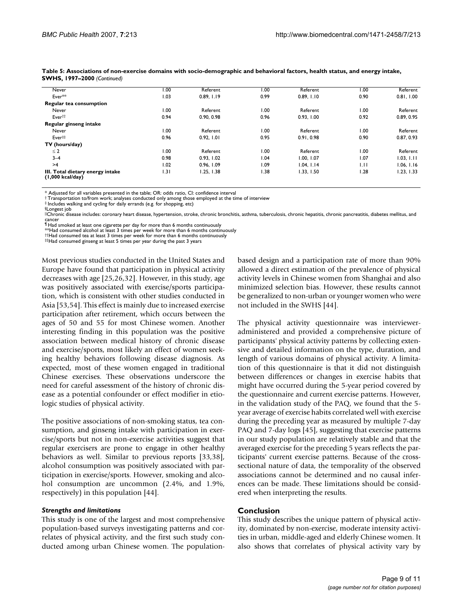| Never                                                  | 00 <sub>1</sub> | Referent   | 00.1 | Referent   | 1.00 | Referent   |
|--------------------------------------------------------|-----------------|------------|------|------------|------|------------|
| Ever**                                                 | 1.03            | 0.89.1.19  | 0.99 | 0.89.1.10  | 0.90 | 0.81, 1.00 |
| Regular tea consumption                                |                 |            |      |            |      |            |
| Never                                                  | 1.00            | Referent   | 1.00 | Referent   | 1.00 | Referent   |
| Ever <sup>††</sup>                                     | 0.94            | 0.90, 0.98 | 0.96 | 0.93.1.00  | 0.92 | 0.89, 0.95 |
| Regular ginseng intake                                 |                 |            |      |            |      |            |
| Never                                                  | 1.00            | Referent   | 00.1 | Referent   | 1.00 | Referent   |
| Ever#                                                  | 0.96            | 0.92. 1.01 | 0.95 | 0.91.0.98  | 0.90 | 0.87, 0.93 |
| TV (hours/day)                                         |                 |            |      |            |      |            |
| $\leq 2$                                               | 1.00            | Referent   | 00.1 | Referent   | 1.00 | Referent   |
| $3 - 4$                                                | 0.98            | 0.93.1.02  | 1.04 | 1.00, 1.07 | 1.07 | 1.03, 1.11 |
| >4                                                     | 1.02            | 0.96.1.09  | 0.09 | 1.04. 1.14 | 1.11 | 1.06. 1.16 |
| III. Total dietary energy intake<br>$(1,000$ kcal/day) | 1.31            | 1.25, 1.38 | 1.38 | 1.33, 1.50 | 1.28 | 1.23, 1.33 |

**Table 5: Associations of non-exercise domains with socio-demographic and behavioral factors, health status, and energy intake, SWHS, 1997–2000** *(Continued)*

\* Adjusted for all variables presented in the table; OR: odds ratio, CI: confidence interval

† Transportation to/from work; analyses conducted only among those employed at the time of interview ‡ Includes walking and cycling for daily errands (e.g. for shopping, etc)

§Longest job

||Chronic disease includes: coronary heart disease, hypertension, stroke, chronic bronchitis, asthma, tuberculosis, chronic hepatitis, chronic pancreatitis, diabetes mellitus, and cancer ¶ Had smoked at least one cigarette per day for more than 6 months continuously

<sup> $\dagger$ †</sup>Had consumed tea at least 3 times per week for more than 6 months continuously<br> $\ddagger$ ‡Had consumed ginseng at least 5 times per year during the past 3 years

Most previous studies conducted in the United States and Europe have found that participation in physical activity decreases with age [25,26,32]. However, in this study, age was positively associated with exercise/sports participation, which is consistent with other studies conducted in Asia [53,54]. This effect is mainly due to increased exercise participation after retirement, which occurs between the ages of 50 and 55 for most Chinese women. Another interesting finding in this population was the positive association between medical history of chronic disease and exercise/sports, most likely an effect of women seeking healthy behaviors following disease diagnosis. As expected, most of these women engaged in traditional Chinese exercises. These observations underscore the need for careful assessment of the history of chronic disease as a potential confounder or effect modifier in etiologic studies of physical activity.

The positive associations of non-smoking status, tea consumption, and ginseng intake with participation in exercise/sports but not in non-exercise activities suggest that regular exercisers are prone to engage in other healthy behaviors as well. Similar to previous reports [33,38], alcohol consumption was positively associated with participation in exercise/sports. However, smoking and alcohol consumption are uncommon (2.4%, and 1.9%, respectively) in this population [44].

#### *Strengths and limitations*

This study is one of the largest and most comprehensive population-based surveys investigating patterns and correlates of physical activity, and the first such study conducted among urban Chinese women. The populationbased design and a participation rate of more than 90% allowed a direct estimation of the prevalence of physical activity levels in Chinese women from Shanghai and also minimized selection bias. However, these results cannot be generalized to non-urban or younger women who were not included in the SWHS [44].

The physical activity questionnaire was intervieweradministered and provided a comprehensive picture of participants' physical activity patterns by collecting extensive and detailed information on the type, duration, and length of various domains of physical activity. A limitation of this questionnaire is that it did not distinguish between differences or changes in exercise habits that might have occurred during the 5-year period covered by the questionnaire and current exercise patterns. However, in the validation study of the PAQ, we found that the 5 year average of exercise habits correlated well with exercise during the preceding year as measured by multiple 7-day PAQ and 7-day logs [45], suggesting that exercise patterns in our study population are relatively stable and that the averaged exercise for the preceding 5 years reflects the participants' current exercise patterns. Because of the crosssectional nature of data, the temporality of the observed associations cannot be determined and no causal inferences can be made. These limitations should be considered when interpreting the results.

#### **Conclusion**

This study describes the unique pattern of physical activity, dominated by non-exercise, moderate intensity activities in urban, middle-aged and elderly Chinese women. It also shows that correlates of physical activity vary by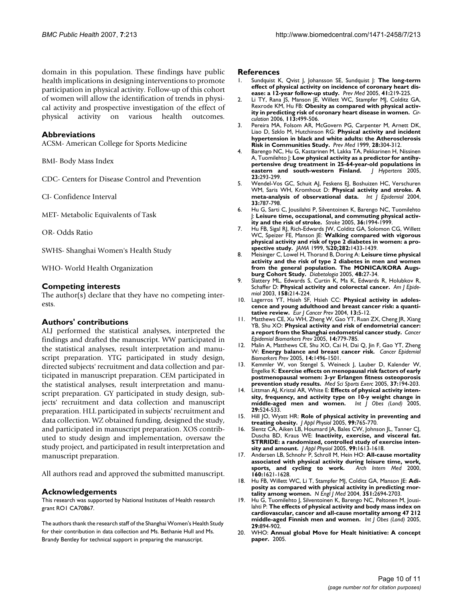domain in this population. These findings have public health implications in designing interventions to promote participation in physical activity. Follow-up of this cohort of women will allow the identification of trends in physical activity and prospective investigation of the effect of physical activity on various health outcomes.

#### **Abbreviations**

ACSM- American College for Sports Medicine

BMI- Body Mass Index

CDC- Centers for Disease Control and Prevention

CI- Confidence Interval

MET- Metabolic Equivalents of Task

OR- Odds Ratio

SWHS- Shanghai Women's Health Study

WHO- World Health Organization

#### **Competing interests**

The author(s) declare that they have no competing interests.

#### **Authors' contributions**

ALJ performed the statistical analyses, interpreted the findings and drafted the manuscript. WW participated in the statistical analyses, result interpretation and manuscript preparation. YTG participated in study design, directed subjects' recruitment and data collection and participated in manuscript preparation. CEM participated in the statistical analyses, result interpretation and manuscript preparation. GY participated in study design, subjects' recruitment and data collection and manuscript preparation. HLL participated in subjects' recruitment and data collection. WZ obtained funding, designed the study, and participated in manuscript preparation. XOS contributed to study design and implementation, oversaw the study project, and participated in result interpretation and manuscript preparation.

All authors read and approved the submitted manuscript.

#### **Acknowledgements**

This research was supported by National Institutes of Health research grant RO1 CA70867.

The authors thank the research staff of the Shanghai Women's Health Study for their contribution in data collection and Ms. Bethanie Hull and Ms. Brandy Bentley for technical support in preparing the manuscript.

#### **References**

- 1. Sundquist K, Qvist J, Johansson SE, Sundquist J: **[The long-term](http://www.ncbi.nlm.nih.gov/entrez/query.fcgi?cmd=Retrieve&db=PubMed&dopt=Abstract&list_uids=15917014) [effect of physical activity on incidence of coronary heart dis](http://www.ncbi.nlm.nih.gov/entrez/query.fcgi?cmd=Retrieve&db=PubMed&dopt=Abstract&list_uids=15917014)[ease: a 12-year follow-up study.](http://www.ncbi.nlm.nih.gov/entrez/query.fcgi?cmd=Retrieve&db=PubMed&dopt=Abstract&list_uids=15917014)** *Prev Med* 2005, **41:**219-225.
- 2. Li TY, Rana IS, Manson JE, Willett WC, Stampfer MJ, Colditz GA, Rexrode KM, Hu FB: **[Obesity as compared with physical activ](http://www.ncbi.nlm.nih.gov/entrez/query.fcgi?cmd=Retrieve&db=PubMed&dopt=Abstract&list_uids=16449729)[ity in predicting risk of coronary heart disease in women.](http://www.ncbi.nlm.nih.gov/entrez/query.fcgi?cmd=Retrieve&db=PubMed&dopt=Abstract&list_uids=16449729)** *Circulation* 2006, **113:**499-506.
- 3. Pereira MA, Folsom AR, McGovern PG, Carpenter M, Arnett DK, Liao D, Szklo M, Hutchinson RG: **[Physical activity and incident](http://www.ncbi.nlm.nih.gov/entrez/query.fcgi?cmd=Retrieve&db=PubMed&dopt=Abstract&list_uids=10072750) [hypertension in black and white adults: the Atherosclerosis](http://www.ncbi.nlm.nih.gov/entrez/query.fcgi?cmd=Retrieve&db=PubMed&dopt=Abstract&list_uids=10072750) [Risk in Communities Study.](http://www.ncbi.nlm.nih.gov/entrez/query.fcgi?cmd=Retrieve&db=PubMed&dopt=Abstract&list_uids=10072750)** *Prev Med* 1999, **28:**304-312.
- 4. Barengo NC, Hu G, Kastarinen M, Lakka TA, Pekkarinen H, Nissinen A, Tuomilehto |: [Low physical activity as a predictor for antihy](http://www.ncbi.nlm.nih.gov/entrez/query.fcgi?cmd=Retrieve&db=PubMed&dopt=Abstract&list_uids=15662217)**[pertensive drug treatment in 25-64-year-old populations in](http://www.ncbi.nlm.nih.gov/entrez/query.fcgi?cmd=Retrieve&db=PubMed&dopt=Abstract&list_uids=15662217) [eastern and south-western Finland.](http://www.ncbi.nlm.nih.gov/entrez/query.fcgi?cmd=Retrieve&db=PubMed&dopt=Abstract&list_uids=15662217)** *J Hypertens* 2005, **23:**293-299.
- 5. Wendel-Vos GC, Schuit AJ, Feskens EJ, Boshuizen HC, Verschuren WM, Saris WH, Kromhout D: **[Physical activity and stroke. A](http://www.ncbi.nlm.nih.gov/entrez/query.fcgi?cmd=Retrieve&db=PubMed&dopt=Abstract&list_uids=15166195) [meta-analysis of observational data.](http://www.ncbi.nlm.nih.gov/entrez/query.fcgi?cmd=Retrieve&db=PubMed&dopt=Abstract&list_uids=15166195)** *Int J Epidemiol* 2004, **33:**787-798.
- 6. Hu G, Sarti C, Jousilahti P, Silventoinen K, Barengo NC, Tuomilehto J: **[Leisure time, occupational, and commuting physical activ](http://www.ncbi.nlm.nih.gov/entrez/query.fcgi?cmd=Retrieve&db=PubMed&dopt=Abstract&list_uids=16081862)[ity and the risk of stroke.](http://www.ncbi.nlm.nih.gov/entrez/query.fcgi?cmd=Retrieve&db=PubMed&dopt=Abstract&list_uids=16081862)** *Stroke* 2005, **36:**1994-1999.
- 7. Hu FB, Sigal RJ, Rich-Edwards JW, Colditz GA, Solomon CG, Willett WC, Speizer FE, Manson JE: **Walking compared with vigorous physical activity and risk of type 2 diabetes in women: a prospective study.** *JAMA* 1999, **%20;282:**1433-1439.
- 8. Meisinger C, Lowel H, Thorand B, Doring A: **[Leisure time physical](http://www.ncbi.nlm.nih.gov/entrez/query.fcgi?cmd=Retrieve&db=PubMed&dopt=Abstract&list_uids=15616798) [activity and the risk of type 2 diabetes in men and women](http://www.ncbi.nlm.nih.gov/entrez/query.fcgi?cmd=Retrieve&db=PubMed&dopt=Abstract&list_uids=15616798) from the general population. The MONICA/KORA Augs[burg Cohort Study.](http://www.ncbi.nlm.nih.gov/entrez/query.fcgi?cmd=Retrieve&db=PubMed&dopt=Abstract&list_uids=15616798)** *Diabetologia* 2005, **48:**27-34.
- 9. Slattery ML, Edwards S, Curtin K, Ma K, Edwards R, Holubkov R, Schaffer D: **[Physical activity and colorectal cancer.](http://www.ncbi.nlm.nih.gov/entrez/query.fcgi?cmd=Retrieve&db=PubMed&dopt=Abstract&list_uids=12882943)** *Am J Epidemiol* 2003, **158:**214-224.
- 10. Lagerros YT, Hsieh SF, Hsieh CC: **[Physical activity in adoles](http://www.ncbi.nlm.nih.gov/entrez/query.fcgi?cmd=Retrieve&db=PubMed&dopt=Abstract&list_uids=15075782)[cence and young adulthood and breast cancer risk: a quanti](http://www.ncbi.nlm.nih.gov/entrez/query.fcgi?cmd=Retrieve&db=PubMed&dopt=Abstract&list_uids=15075782)[tative review.](http://www.ncbi.nlm.nih.gov/entrez/query.fcgi?cmd=Retrieve&db=PubMed&dopt=Abstract&list_uids=15075782)** *Eur J Cancer Prev* 2004, **13:**5-12.
- 11. Matthews CE, Xu WH, Zheng W, Gao YT, Ruan ZX, Cheng JR, Xiang YB, Shu XO: **[Physical activity and risk of endometrial cancer:](http://www.ncbi.nlm.nih.gov/entrez/query.fcgi?cmd=Retrieve&db=PubMed&dopt=Abstract&list_uids=15824143) [a report from the Shanghai endometrial cancer study.](http://www.ncbi.nlm.nih.gov/entrez/query.fcgi?cmd=Retrieve&db=PubMed&dopt=Abstract&list_uids=15824143)** *Cancer Epidemiol Biomarkers Prev* 2005, **14:**779-785.
- 12. Malin A, Matthews CE, Shu XO, Cai H, Dai Q, Jin F, Gao YT, Zheng W: **[Energy balance and breast cancer risk.](http://www.ncbi.nlm.nih.gov/entrez/query.fcgi?cmd=Retrieve&db=PubMed&dopt=Abstract&list_uids=15941962)** *Cancer Epidemiol Biomarkers Prev* 2005, **14:**1496-1501.
- 13. Kemmler W, von Stengel S, Weineck J, Lauber D, Kalender W, Engelke K: **[Exercise effects on menopausal risk factors of early](http://www.ncbi.nlm.nih.gov/entrez/query.fcgi?cmd=Retrieve&db=PubMed&dopt=Abstract&list_uids=15692313) [postmenopausal women: 3-yr Erlangen fitness osteoporosis](http://www.ncbi.nlm.nih.gov/entrez/query.fcgi?cmd=Retrieve&db=PubMed&dopt=Abstract&list_uids=15692313) [prevention study results.](http://www.ncbi.nlm.nih.gov/entrez/query.fcgi?cmd=Retrieve&db=PubMed&dopt=Abstract&list_uids=15692313)** *Med Sci Sports Exerc* 2005, **37:**194-203.
- 14. Littman AJ, Kristal AR, White E: **[Effects of physical activity inten](http://www.ncbi.nlm.nih.gov/entrez/query.fcgi?cmd=Retrieve&db=PubMed&dopt=Abstract&list_uids=15672107)[sity, frequency, and activity type on 10-y weight change in](http://www.ncbi.nlm.nih.gov/entrez/query.fcgi?cmd=Retrieve&db=PubMed&dopt=Abstract&list_uids=15672107) [middle-aged men and women.](http://www.ncbi.nlm.nih.gov/entrez/query.fcgi?cmd=Retrieve&db=PubMed&dopt=Abstract&list_uids=15672107)** *Int J Obes (Lond)* 2005, **29:**524-533.
- 15. Hill JO, Wyatt HR: **[Role of physical activity in preventing and](http://www.ncbi.nlm.nih.gov/entrez/query.fcgi?cmd=Retrieve&db=PubMed&dopt=Abstract&list_uids=16020440) [treating obesity.](http://www.ncbi.nlm.nih.gov/entrez/query.fcgi?cmd=Retrieve&db=PubMed&dopt=Abstract&list_uids=16020440)** *J Appl Physiol* 2005, **99:**765-770.
- 16. Slentz CA, Aiken LB, Houmard JA, Bales CW, Johnson JL, Tanner CJ, Duscha BD, Kraus WE: **[Inactivity, exercise, and visceral fat.](http://www.ncbi.nlm.nih.gov/entrez/query.fcgi?cmd=Retrieve&db=PubMed&dopt=Abstract&list_uids=16002776) [STRRIDE: a randomized, controlled study of exercise inten](http://www.ncbi.nlm.nih.gov/entrez/query.fcgi?cmd=Retrieve&db=PubMed&dopt=Abstract&list_uids=16002776)[sity and amount.](http://www.ncbi.nlm.nih.gov/entrez/query.fcgi?cmd=Retrieve&db=PubMed&dopt=Abstract&list_uids=16002776)** *J Appl Physiol* 2005, **99:**1613-1618.
- 17. Andersen LB, Schnohr P, Schroll M, Hein HO: **[All-cause mortality](http://www.ncbi.nlm.nih.gov/entrez/query.fcgi?cmd=Retrieve&db=PubMed&dopt=Abstract&list_uids=10847255) [associated with physical activity during leisure time, work,](http://www.ncbi.nlm.nih.gov/entrez/query.fcgi?cmd=Retrieve&db=PubMed&dopt=Abstract&list_uids=10847255)** [sports, and cycling to work.](http://www.ncbi.nlm.nih.gov/entrez/query.fcgi?cmd=Retrieve&db=PubMed&dopt=Abstract&list_uids=10847255) **160:**1621-1628.
- 18. Hu FB, Willett WC, Li T, Stampfer MJ, Colditz GA, Manson JE: **[Adi](http://www.ncbi.nlm.nih.gov/entrez/query.fcgi?cmd=Retrieve&db=PubMed&dopt=Abstract&list_uids=15616204)[posity as compared with physical activity in predicting mor](http://www.ncbi.nlm.nih.gov/entrez/query.fcgi?cmd=Retrieve&db=PubMed&dopt=Abstract&list_uids=15616204)[tality among women.](http://www.ncbi.nlm.nih.gov/entrez/query.fcgi?cmd=Retrieve&db=PubMed&dopt=Abstract&list_uids=15616204)** *N Engl J Med* 2004, **351:**2694-2703.
- 19. Hu G, Tuomilehto J, Silventoinen K, Barengo NC, Peltonen M, Jousilahti P: **[The effects of physical activity and body mass index on](http://www.ncbi.nlm.nih.gov/entrez/query.fcgi?cmd=Retrieve&db=PubMed&dopt=Abstract&list_uids=15724141) [cardiovascular, cancer and all-cause mortality among 47 212](http://www.ncbi.nlm.nih.gov/entrez/query.fcgi?cmd=Retrieve&db=PubMed&dopt=Abstract&list_uids=15724141) [middle-aged Finnish men and women.](http://www.ncbi.nlm.nih.gov/entrez/query.fcgi?cmd=Retrieve&db=PubMed&dopt=Abstract&list_uids=15724141)** *Int J Obes (Lond)* 2005, **29:**894-902.
- 20. WHO: **Annual global Move for Healt hinitiative: A concept paper.** 2005.